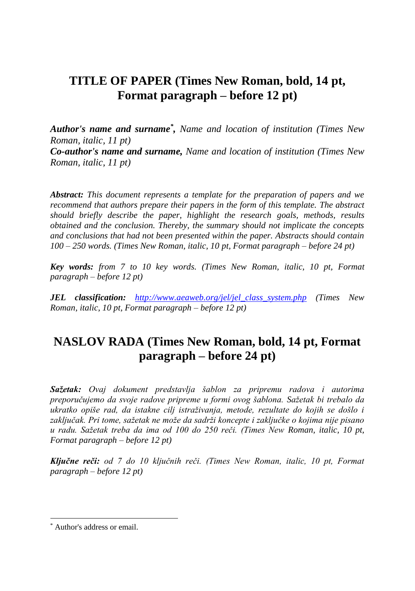## **TITLE OF PAPER (Times New Roman, bold, 14 pt, Format paragraph – before 12 pt)**

*Author's name and surname\* , Name and location of institution (Times New Roman, italic, 11 pt) Co-author's name and surname, Name and location of institution (Times New Roman, italic, 11 pt)*

*Abstract: This document represents a template for the preparation of papers and we recommend that authors prepare their papers in the form of this template. The abstract should briefly describe the paper, highlight the research goals, methods, results obtained and the conclusion. Thereby, the summary should not implicate the concepts and conclusions that had not been presented within the paper. Abstracts should contain 100 – 250 words. (Times New Roman, italic, 10 pt, Format paragraph – before 24 pt)*

*Key words: from 7 to 10 key words. (Times New Roman, italic, 10 pt, Format paragraph – before 12 pt)*

*JEL classification: [http://www.aeaweb.org/jel/jel\\_class\\_system.php](http://www.aeaweb.org/jel/jel_class_system.php) (Times New Roman, italic, 10 pt, Format paragraph – before 12 pt)*

# **NASLOV RADA (Times New Roman, bold, 14 pt, Format paragraph – before 24 pt)**

*Sažetak: Ovaj dokument predstavlja šablon za pripremu radova i autorima preporučujemo da svoje radove pripreme u formi ovog šablona. Sažetak bi trebalo da ukratko opiše rad, da istakne cilj istraživanja, metode, rezultate do kojih se došlo i zaključak. Pri tome, sažetak ne može da sadrži koncepte i zaključke o kojima nije pisano u radu. Sažetak treba da ima od 100 do 250 reči. (Times New Roman, italic, 10 pt, Format paragraph – before 12 pt)*

*Ključne reči: od 7 do 10 ključnih reči. (Times New Roman, italic, 10 pt, Format paragraph – before 12 pt)*

 $\overline{a}$ 

<sup>\*</sup> Author's address or email.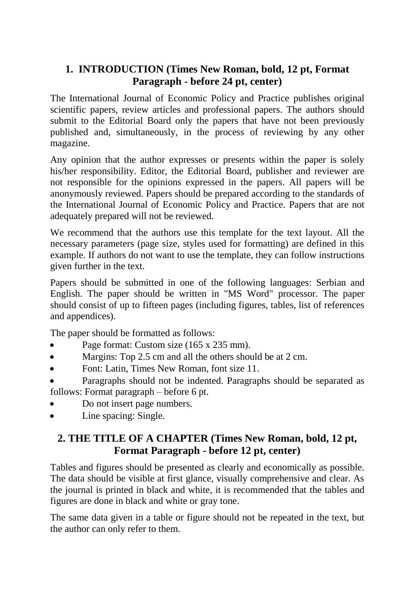## **1. INTRODUCTION (Times New Roman, bold, 12 pt, Format Paragraph - before 24 pt, center)**

The International Journal of Economic Policy and Practice publishes original scientific papers, review articles and professional papers. The authors should submit to the Editorial Board only the papers that have not been previously published and, simultaneously, in the process of reviewing by any other magazine.

Any opinion that the author expresses or presents within the paper is solely his/her responsibility. Editor, the Editorial Board, publisher and reviewer are not responsible for the opinions expressed in the papers. All papers will be anonymously reviewed. Papers should be prepared according to the standards of the International Journal of Economic Policy and Practice. Papers that are not adequately prepared will not be reviewed.

We recommend that the authors use this template for the text layout. All the necessary parameters (page size, styles used for formatting) are defined in this example. If authors do not want to use the template, they can follow instructions given further in the text.

Papers should be submitted in one of the following languages: Serbian and English. The paper should be written in "MS Word" processor. The paper should consist of up to fifteen pages (including figures, tables, list of references and appendices).

The paper should be formatted as follows:

- Page format: Custom size (165 x 235 mm).
- Margins: Top 2.5 cm and all the others should be at 2 cm.
- Font: Latin, Times New Roman, font size 11.

 Paragraphs should not be indented. Paragraphs should be separated as follows: Format paragraph – before 6 pt.

- Do not insert page numbers.
- Line spacing: Single.

## **2. THE TITLE OF A CHAPTER (Times New Roman, bold, 12 pt, Format Paragraph - before 12 pt, center)**

Tables and figures should be presented as clearly and economically as possible. The data should be visible at first glance, visually comprehensive and clear. As the journal is printed in black and white, it is recommended that the tables and figures are done in black and white or gray tone.

The same data given in a table or figure should not be repeated in the text, but the author can only refer to them.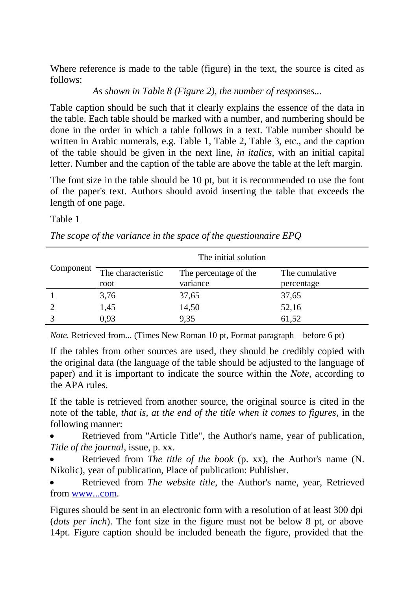Where reference is made to the table (figure) in the text, the source is cited as follows:

*As shown in Table 8 (Figure 2), the number of responses...*

Table caption should be such that it clearly explains the essence of the data in the table. Each table should be marked with a number, and numbering should be done in the order in which a table follows in a text. Table number should be written in Arabic numerals, e.g. Table 1, Table 2, Table 3, etc., and the caption of the table should be given in the next line, *in italics*, with an initial capital letter. Number and the caption of the table are above the table at the left margin.

The font size in the table should be 10 pt, but it is recommended to use the font of the paper's text. Authors should avoid inserting the table that exceeds the length of one page.

Table 1

|  |  |  | The scope of the variance in the space of the questionnaire $EPQ$ |  |
|--|--|--|-------------------------------------------------------------------|--|
|  |  |  |                                                                   |  |

| Component     | The initial solution |                       |                |  |  |  |
|---------------|----------------------|-----------------------|----------------|--|--|--|
|               | The characteristic   | The percentage of the | The cumulative |  |  |  |
|               | root                 | variance              | percentage     |  |  |  |
|               | 3,76                 | 37,65                 | 37,65          |  |  |  |
| $\mathcal{D}$ | 1,45                 | 14,50                 | 52,16          |  |  |  |
|               | 0.93                 | 9,35                  | 61,52          |  |  |  |

*Note.* Retrieved from... (Times New Roman 10 pt, Format paragraph – before 6 pt)

If the tables from other sources are used, they should be credibly copied with the original data (the language of the table should be adjusted to the language of paper) and it is important to indicate the source within the *Note*, according to the APA rules.

If the table is retrieved from another source, the original source is cited in the note of the table, *that is, at the end of the title when it comes to figures*, in the following manner:

 Retrieved from "Article Title", the Author's name, year of publication, *Title of the journal*, issue, p. xx.

 Retrieved from *The title of the book* (p. xx), the Author's name (N. Nikolic), year of publication, Place of publication: Publisher.

 Retrieved from *The website title*, the Author's name, year, Retrieved from [www...com.](http://www.xyz.com/)

Figures should be sent in an electronic form with a resolution of at least 300 dpi (*dots per inch*). The font size in the figure must not be below 8 pt, or above 14pt. Figure caption should be included beneath the figure, provided that the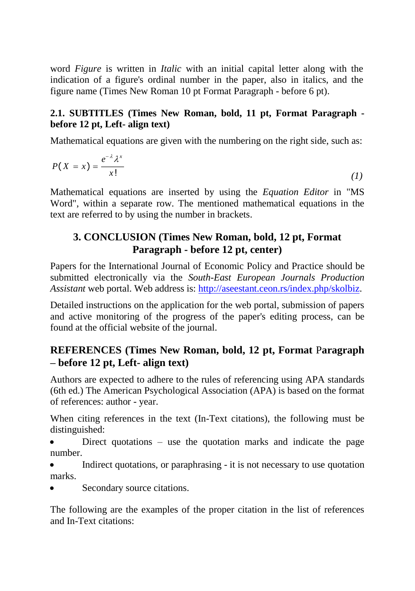word *Figure* is written in *Italic* with an initial capital letter along with the indication of a figure's ordinal number in the paper, also in italics, and the figure name (Times New Roman 10 pt Format Paragraph - before 6 pt).

#### **2.1. SUBTITLES (Times New Roman, bold, 11 pt, Format Paragraph before 12 pt, Left- align text)**

Mathematical equations are given with the numbering on the right side, such as:

$$
P(X = x) = \frac{e^{-\lambda} \lambda^x}{x!}
$$
 (1)

Mathematical equations are inserted by using the *Equation Editor* in "MS Word", within a separate row. The mentioned mathematical equations in the text are referred to by using the number in brackets.

### **3. CONCLUSION (Times New Roman, bold, 12 pt, Format Paragraph - before 12 pt, center)**

Papers for the International Journal of Economic Policy and Practice should be submitted electronically via the *South-East European Journals Production Assistant* web portal. Web address is: [http://aseestant.ceon.rs/index.php/skolbiz.](http://aseestant.ceon.rs/index.php/skolbiz)

Detailed instructions on the application for the web portal, submission of papers and active monitoring of the progress of the paper's editing process, can be found at the official website of the journal.

## **REFERENCES (Times New Roman, bold, 12 pt, Format** P**aragraph – before 12 pt, Left- align text)**

Authors are expected to adhere to the rules of referencing using APA standards (6th ed.) The American Psychological Association (APA) is based on the format of references: author - year.

When citing references in the text (In-Text citations), the following must be distinguished:

Direct quotations – use the quotation marks and indicate the page number.

 Indirect quotations, or paraphrasing - it is not necessary to use quotation marks.

Secondary source citations.

The following are the examples of the proper citation in the list of references and In-Text citations: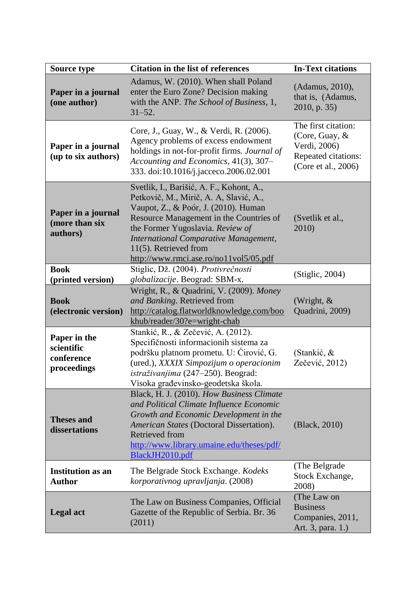| Source type                                              | <b>Citation in the list of references</b>                                                                                                                                                                                                                                                                             | <b>In-Text citations</b>                                                                            |  |
|----------------------------------------------------------|-----------------------------------------------------------------------------------------------------------------------------------------------------------------------------------------------------------------------------------------------------------------------------------------------------------------------|-----------------------------------------------------------------------------------------------------|--|
| Paper in a journal<br>(one author)                       | Adamus, W. (2010). When shall Poland<br>enter the Euro Zone? Decision making<br>with the ANP. The School of Business, 1,<br>$31 - 52$ .                                                                                                                                                                               | (Adamus, 2010),<br>that is, (Adamus,<br>$2010$ , p. 35)                                             |  |
| Paper in a journal<br>(up to six authors)                | Core, J., Guay, W., & Verdi, R. (2006).<br>Agency problems of excess endowment<br>holdings in not-for-profit firms. Journal of<br>Accounting and Economics, 41(3), 307-<br>333. doi:10.1016/j.jacceco.2006.02.001                                                                                                     | The first citation:<br>(Core, Guay, &<br>Verdi, 2006)<br>Repeated citations:<br>(Core et al., 2006) |  |
| Paper in a journal<br>(more than six<br>authors)         | Svetlik, I., Barišić, A. F., Kohont, A.,<br>Petkovič, M., Mirič, A. A, Slavić, A.,<br>Vaupot, Z., & Poór, J. (2010). Human<br>Resource Management in the Countries of<br>the Former Yugoslavia. Review of<br>International Comparative Management,<br>11(5). Retrieved from<br>http://www.rmci.ase.ro/no11vol5/05.pdf | (Svetlik et al.,<br>2010)                                                                           |  |
| <b>Book</b>                                              | Stiglic, Dž. (2004). Protivrečnosti                                                                                                                                                                                                                                                                                   | (Stiglic, 2004)                                                                                     |  |
| (printed version)<br><b>Book</b><br>(electronic version) | globalizacije. Beograd: SBM-x.<br>Wright, R., & Quadrini, V. (2009). Money<br>and Banking. Retrieved from<br>http://catalog.flatworldknowledge.com/boo<br>khub/reader/30?e=wright-chab                                                                                                                                | (Wright, &<br>Quadrini, 2009)                                                                       |  |
| Paper in the<br>scientific<br>conference<br>proceedings  | Stankić, R., & Zečević, A. (2012).<br>Specifičnosti informacionih sistema za<br>podršku platnom prometu. U: Ćirović, G.<br>(ured.), XXXIX Simpozijum o operacionim<br>istraživanjima (247-250). Beograd:<br>Visoka građevinsko-geodetska škola.                                                                       | (Stankić, &<br>Zečević, 2012)                                                                       |  |
| <b>Theses and</b><br>dissertations                       | Black, H. J. (2010). How Business Climate<br>and Political Climate Influence Economic<br>Growth and Economic Development in the<br>American States (Doctoral Dissertation).<br>Retrieved from<br>http://www.library.umaine.edu/theses/pdf/<br>BlackJH2010.pdf                                                         | (Black, 2010)                                                                                       |  |
| <b>Institution as an</b><br><b>Author</b>                | The Belgrade Stock Exchange. Kodeks<br>korporativnog upravljanja. (2008)                                                                                                                                                                                                                                              | (The Belgrade<br>Stock Exchange,<br>2008)                                                           |  |
| <b>Legal</b> act                                         | The Law on Business Companies, Official<br>Gazette of the Republic of Serbia. Br. 36<br>(2011)                                                                                                                                                                                                                        | (The Law on<br><b>Business</b><br>Companies, 2011,<br>Art. 3, para. 1.)                             |  |